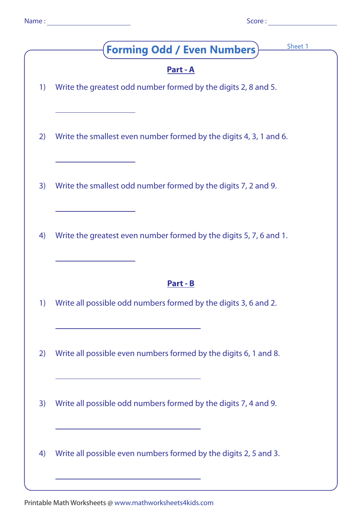| - 7<br>٣.<br>. . | ١n |  |
|------------------|----|--|
|                  |    |  |

| u |  | ٧ |  |
|---|--|---|--|

|    | Sheet 1<br><b>Forming Odd / Even Numbers)</b>                                                                                                                                            |
|----|------------------------------------------------------------------------------------------------------------------------------------------------------------------------------------------|
| 1) | <u>Part - A</u><br>Write the greatest odd number formed by the digits 2, 8 and 5.                                                                                                        |
| 2) | Write the smallest even number formed by the digits 4, 3, 1 and 6.                                                                                                                       |
| 3) | Write the smallest odd number formed by the digits 7, 2 and 9.                                                                                                                           |
| 4) | Write the greatest even number formed by the digits 5, 7, 6 and 1.                                                                                                                       |
| 1) | <u>Part - B</u><br>Write all possible odd numbers formed by the digits 3, 6 and 2.                                                                                                       |
| 2) | Write all possible even numbers formed by the digits 6, 1 and 8.<br><u> 1989 - Johann Stein, marwolaethau a bhann an t-Amhain an t-Amhain an t-Amhain an t-Amhain an t-Amhain an t-A</u> |
| 3) | Write all possible odd numbers formed by the digits 7, 4 and 9.<br>the control of the control of the control of the control of the control of                                            |
| 4) | Write all possible even numbers formed by the digits 2, 5 and 3.                                                                                                                         |

Printable Math Worksheets @ www.mathworksheets4kids.com